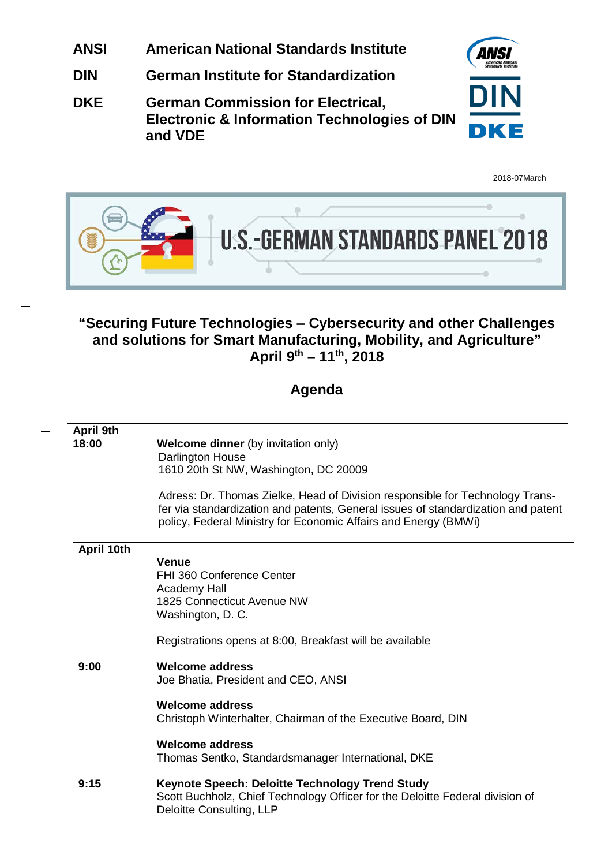- **ANSI American National Standards Institute**
- **DIN German Institute for Standardization**
- **DKE German Commission for Electrical, Electronic & Information Technologies of DIN and VDE**



2018-07March



# **"Securing Future Technologies ‒ Cybersecurity and other Challenges and solutions for Smart Manufacturing, Mobility, and Agriculture" April 9th – 11th, 2018**

# **Agenda**

| April 9th<br>18:00 | <b>Welcome dinner</b> (by invitation only)<br>Darlington House<br>1610 20th St NW, Washington, DC 20009                                                                                                                                 |
|--------------------|-----------------------------------------------------------------------------------------------------------------------------------------------------------------------------------------------------------------------------------------|
|                    | Adress: Dr. Thomas Zielke, Head of Division responsible for Technology Trans-<br>fer via standardization and patents, General issues of standardization and patent<br>policy, Federal Ministry for Economic Affairs and Energy (BMWi)   |
| April 10th         | <b>Venue</b><br>FHI 360 Conference Center<br>Academy Hall<br>1825 Connecticut Avenue NW<br>Washington, D. C.<br>Registrations opens at 8:00, Breakfast will be available                                                                |
| 9:00               | <b>Welcome address</b><br>Joe Bhatia, President and CEO, ANSI<br><b>Welcome address</b><br>Christoph Winterhalter, Chairman of the Executive Board, DIN<br><b>Welcome address</b><br>Thomas Sentko, Standardsmanager International, DKE |
| 9:15               | Keynote Speech: Deloitte Technology Trend Study<br>Scott Buchholz, Chief Technology Officer for the Deloitte Federal division of<br>Deloitte Consulting, LLP                                                                            |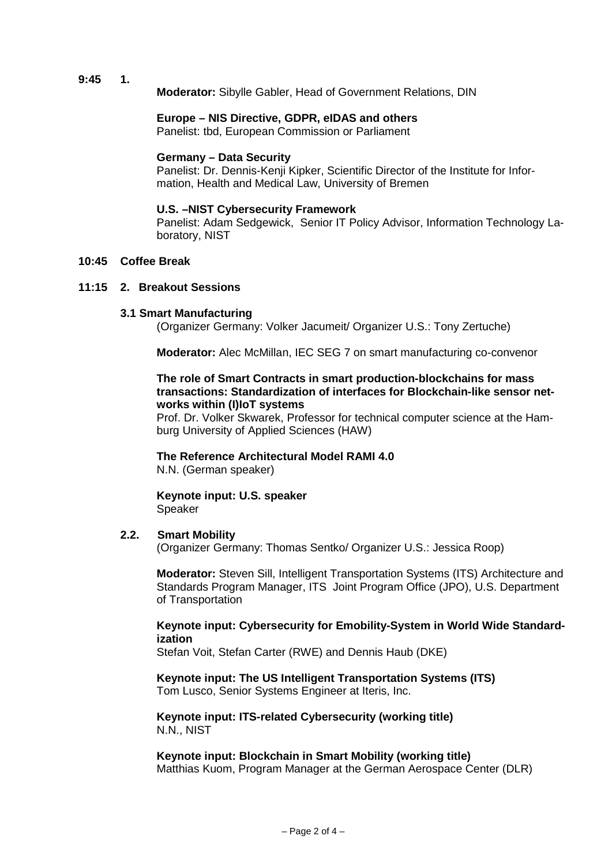**9:45 1.**

**Moderator:** Sibylle Gabler, Head of Government Relations, DIN

#### **Europe – NIS Directive, GDPR, eIDAS and others**

Panelist: tbd, European Commission or Parliament

#### **Germany – Data Security**

Panelist: Dr. Dennis-Kenji Kipker, Scientific Director of the Institute for Information, Health and Medical Law, University of Bremen

#### **U.S. –NIST Cybersecurity Framework**

Panelist: Adam Sedgewick, Senior IT Policy Advisor, Information Technology Laboratory, NIST

### **10:45 Coffee Break**

#### **11:15 2. Breakout Sessions**

#### **3.1 Smart Manufacturing**

(Organizer Germany: Volker Jacumeit/ Organizer U.S.: Tony Zertuche)

**Moderator:** Alec McMillan, IEC SEG 7 on smart manufacturing co-convenor

#### **The role of Smart Contracts in smart production-blockchains for mass transactions: Standardization of interfaces for Blockchain-like sensor networks within (I)IoT systems**

Prof. Dr. Volker Skwarek, Professor for technical computer science at the Hamburg University of Applied Sciences (HAW)

**The Reference Architectural Model RAMI 4.0** N.N. (German speaker)

**Keynote input: U.S. speaker** Speaker

#### **2.2. Smart Mobility**

(Organizer Germany: Thomas Sentko/ Organizer U.S.: Jessica Roop)

**Moderator:** Steven Sill, Intelligent Transportation Systems (ITS) Architecture and Standards Program Manager, ITS Joint Program Office (JPO), U.S. Department of Transportation

#### **Keynote input: Cybersecurity for Emobility-System in World Wide Standardization**

Stefan Voit, Stefan Carter (RWE) and Dennis Haub (DKE)

**Keynote input: The US Intelligent Transportation Systems (ITS)** Tom Lusco, Senior Systems Engineer at Iteris, Inc.

**Keynote input: ITS-related Cybersecurity (working title)** N.N., NIST

**Keynote input: Blockchain in Smart Mobility (working title)** Matthias Kuom, Program Manager at the German Aerospace Center (DLR)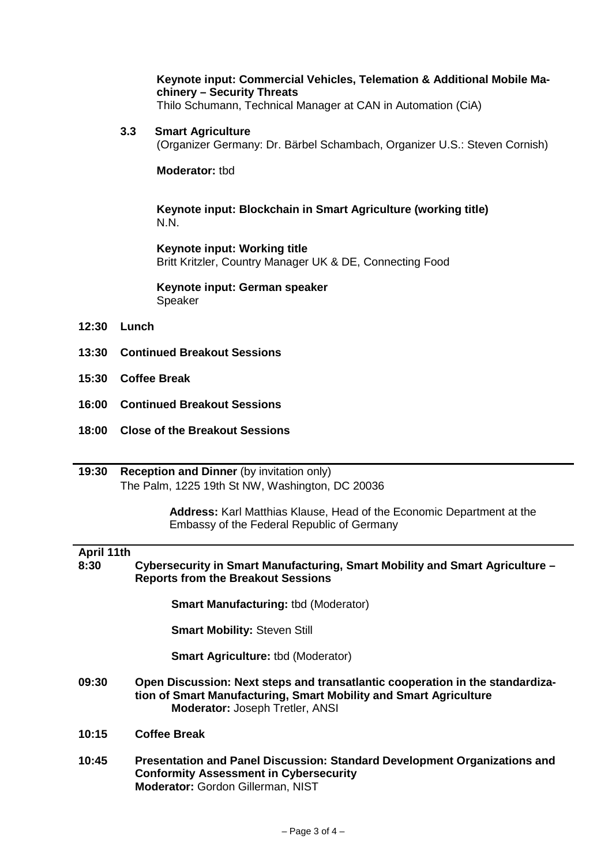## **Keynote input: Commercial Vehicles, Telemation & Additional Mobile Machinery – Security Threats**

Thilo Schumann, Technical Manager at CAN in Automation (CiA)

**3.3 Smart Agriculture**

(Organizer Germany: Dr. Bärbel Schambach, Organizer U.S.: Steven Cornish)

**Moderator:** tbd

**Keynote input: Blockchain in Smart Agriculture (working title)** N.N.

**Keynote input: Working title** Britt Kritzler, Country Manager UK & DE, Connecting Food

**Keynote input: German speaker** Speaker

- **12:30 Lunch**
- **13:30 Continued Breakout Sessions**
- **15:30 Coffee Break**
- **16:00 Continued Breakout Sessions**
- **18:00 Close of the Breakout Sessions**
- **19:30 Reception and Dinner** (by invitation only) The Palm, 1225 19th St NW, Washington, DC 20036

 **Address:** Karl Matthias Klause, Head of the Economic Department at the Embassy of the Federal Republic of Germany

# **April 11th**

**8:30 Cybersecurity in Smart Manufacturing, Smart Mobility and Smart Agriculture – Reports from the Breakout Sessions**

**Smart Manufacturing:** tbd (Moderator)

**Smart Mobility:** Steven Still

**Smart Agriculture: tbd (Moderator)** 

- **09:30 Open Discussion: Next steps and transatlantic cooperation in the standardization of Smart Manufacturing, Smart Mobility and Smart Agriculture Moderator:** Joseph Tretler, ANSI
- **10:15 Coffee Break**
- **10:45 Presentation and Panel Discussion: Standard Development Organizations and Conformity Assessment in Cybersecurity Moderator:** Gordon Gillerman, NIST